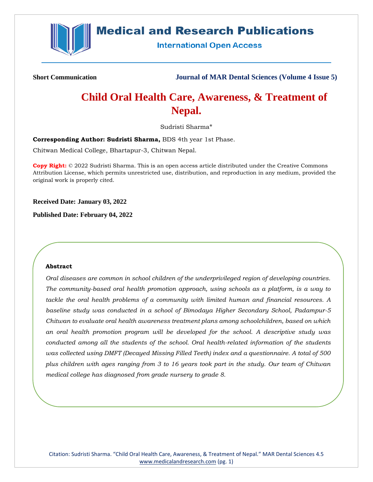

## **Medical and Research Publications**

**International Open Access** 

**Short Communication Journal of MAR Dental Sciences (Volume 4 Issue 5)**

# **Child Oral Health Care, Awareness, & Treatment of Nepal.**

Sudristi Sharma\*

**Corresponding Author: Sudristi Sharma,** BDS 4th year 1st Phase.

Chitwan Medical College, Bhartapur-3, Chitwan Nepal.

**Copy Right:** © 2022 Sudristi Sharma. This is an open access article distributed under the Creative Commons Attribution License, which permits unrestricted use, distribution, and reproduction in any medium, provided the original work is properly cited.

**Received Date: January 03, 2022**

**Published Date: February 04, 2022**

#### **Abstract**

*Oral diseases are common in school children of the underprivileged region of developing countries. The community-based oral health promotion approach, using schools as a platform, is a way to tackle the oral health problems of a community with limited human and financial resources. A baseline study was conducted in a school of Bimodaya Higher Secondary School, Padampur-5 Chitwan to evaluate oral health awareness treatment plans among schoolchildren, based on which an oral health promotion program will be developed for the school. A descriptive study was conducted among all the students of the school. Oral health-related information of the students was collected using DMFT (Decayed Missing Filled Teeth) index and a questionnaire. A total of 500 plus children with ages ranging from 3 to 16 years took part in the study. Our team of Chitwan medical college has diagnosed from grade nursery to grade 8.*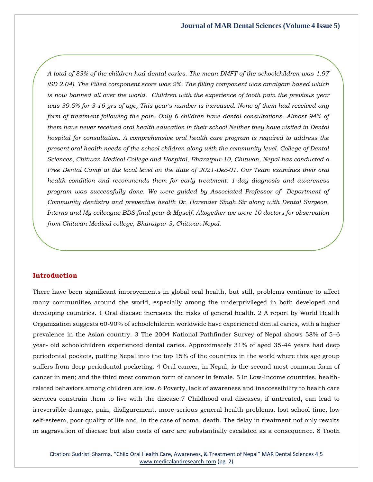*A total of 83% of the children had dental caries. The mean DMFT of the schoolchildren was 1.97 (SD 2.04). The Filled component score was 2%. The filling component was amalgam based which is now banned all over the world. Children with the experience of tooth pain the previous year was 39.5% for 3-16 yrs of age, This year's number is increased. None of them had received any form of treatment following the pain. Only 6 children have dental consultations. Almost 94% of them have never received oral health education in their school Neither they have visited in Dental hospital for consultation. A comprehensive oral health care program is required to address the present oral health needs of the school children along with the community level. College of Dental Sciences, Chitwan Medical College and Hospital, Bharatpur-10, Chitwan, Nepal has conducted a Free Dental Camp at the local level on the date of 2021-Dec-01. Our Team examines their oral health condition and recommends them for early treatment. 1-day diagnosis and awareness program was successfully done. We were guided by Associated Professor of Department of Community dentistry and preventive health Dr. Harender Singh Sir along with Dental Surgeon, Interns and My colleague BDS final year & Myself. Altogether we were 10 doctors for observation from Chitwan Medical college, Bharatpur-3, Chitwan Nepal.*

#### **Introduction**

There have been significant improvements in global oral health, but still, problems continue to affect many communities around the world, especially among the underprivileged in both developed and developing countries. 1 Oral disease increases the risks of general health. 2 A report by World Health Organization suggests 60-90% of schoolchildren worldwide have experienced dental caries, with a higher prevalence in the Asian country. 3 The 2004 National Pathfinder Survey of Nepal shows 58% of 5–6 year- old schoolchildren experienced dental caries. Approximately 31% of aged 35-44 years had deep periodontal pockets, putting Nepal into the top 15% of the countries in the world where this age group suffers from deep periodontal pocketing. 4 Oral cancer, in Nepal, is the second most common form of cancer in men; and the third most common form of cancer in female. 5 In Low-Income countries, healthrelated behaviors among children are low. 6 Poverty, lack of awareness and inaccessibility to health care services constrain them to live with the disease.7 Childhood oral diseases, if untreated, can lead to irreversible damage, pain, disfigurement, more serious general health problems, lost school time, low self-esteem, poor quality of life and, in the case of noma, death. The delay in treatment not only results in aggravation of disease but also costs of care are substantially escalated as a consequence. 8 Tooth